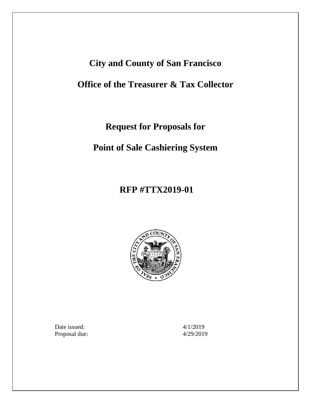# **City and County of San Francisco**

# **Office of the Treasurer & Tax Collector**

**Request for Proposals for**

**Point of Sale Cashiering System**

# **RFP #TTX2019-01**



Date issued: 4/1/2019 Proposal due: 4/29/2019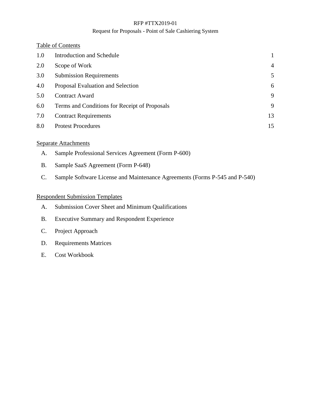#### Request for Proposals - Point of Sale Cashiering System

#### Table of Contents

| 1.0 | <b>Introduction and Schedule</b>              |                |
|-----|-----------------------------------------------|----------------|
| 2.0 | Scope of Work                                 | $\overline{4}$ |
| 3.0 | <b>Submission Requirements</b>                | 5              |
| 4.0 | Proposal Evaluation and Selection             | 6              |
| 5.0 | <b>Contract Award</b>                         | 9              |
| 6.0 | Terms and Conditions for Receipt of Proposals | 9              |
| 7.0 | <b>Contract Requirements</b>                  | 13             |
| 8.0 | <b>Protest Procedures</b>                     | 15             |

#### Separate Attachments

- A. Sample Professional Services Agreement (Form P-600)
- B. Sample SaaS Agreement (Form P-648)
- C. Sample Software License and Maintenance Agreements (Forms P-545 and P-540)

#### Respondent Submission Templates

- A. Submission Cover Sheet and Minimum Qualifications
- B. Executive Summary and Respondent Experience
- C. Project Approach
- D. Requirements Matrices
- E. Cost Workbook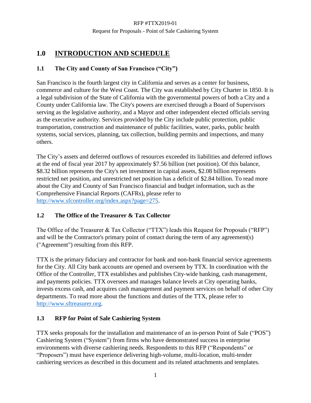# <span id="page-2-0"></span>**1.0 INTRODUCTION AND SCHEDULE**

#### **1.1 The City and County of San Francisco ("City")**

San Francisco is the fourth largest city in California and serves as a center for business, commerce and culture for the West Coast. The City was established by City Charter in 1850. It is a legal subdivision of the State of California with the governmental powers of both a City and a County under California law. The City's powers are exercised through a Board of Supervisors serving as the legislative authority, and a Mayor and other independent elected officials serving as the executive authority. Services provided by the City include public protection, public transportation, construction and maintenance of public facilities, water, parks, public health systems, social services, planning, tax collection, building permits and inspections, and many others.

The City's assets and deferred outflows of resources exceeded its liabilities and deferred inflows at the end of fiscal year 2017 by approximately \$7.56 billion (net position). Of this balance, \$8.32 billion represents the City's net investment in capital assets, \$2.08 billion represents restricted net position, and unrestricted net position has a deficit of \$2.84 billion. To read more about the City and County of San Francisco financial and budget information, such as the Comprehensive Financial Reports (CAFRs), please refer to [http://www.sfcontroller.org/index.aspx?page=275.](http://www.sfcontroller.org/index.aspx?page=275)

#### **1.2 The Office of the Treasurer & Tax Collector**

The Office of the Treasurer & Tax Collector ("TTX") leads this Request for Proposals ("RFP") and will be the Contractor's primary point of contact during the term of any agreement(s) ("Agreement") resulting from this RFP.

TTX is the primary fiduciary and contractor for bank and non-bank financial service agreements for the City. All City bank accounts are opened and overseen by TTX. In coordination with the Office of the Controller, TTX establishes and publishes City-wide banking, cash management, and payments policies. TTX oversees and manages balance levels at City operating banks, invests excess cash, and acquires cash management and payment services on behalf of other City departments. To read more about the functions and duties of the TTX, please refer to [http://www.sftreasurer.org.](http://www.sftreasurer.org/)

#### **1.3 RFP for Point of Sale Cashiering System**

TTX seeks proposals for the installation and maintenance of an in-person Point of Sale ("POS") Cashiering System ("System") from firms who have demonstrated success in enterprise environments with diverse cashiering needs. Respondents to this RFP ("Respondents" or "Proposers") must have experience delivering high-volume, multi-location, multi-tender cashiering services as described in this document and its related attachments and templates.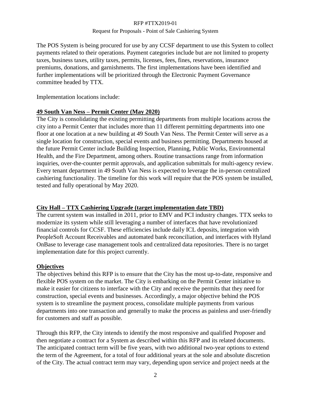The POS System is being procured for use by any CCSF department to use this System to collect payments related to their operations. Payment categories include but are not limited to property taxes, business taxes, utility taxes, permits, licenses, fees, fines, reservations, insurance premiums, donations, and garnishments. The first implementations have been identified and further implementations will be prioritized through the Electronic Payment Governance committee headed by TTX.

Implementation locations include:

#### **49 South Van Ness – Permit Center (May 2020)**

The City is consolidating the existing permitting departments from multiple locations across the city into a Permit Center that includes more than 11 different permitting departments into one floor at one location at a new building at 49 South Van Ness. The Permit Center will serve as a single location for construction, special events and business permitting. Departments housed at the future Permit Center include Building Inspection, Planning, Public Works, Environmental Health, and the Fire Department, among others. Routine transactions range from information inquiries, over-the-counter permit approvals, and application submittals for multi-agency review. Every tenant department in 49 South Van Ness is expected to leverage the in-person centralized cashiering functionality. The timeline for this work will require that the POS system be installed, tested and fully operational by May 2020.

## **City Hall – TTX Cashiering Upgrade (target implementation date TBD)**

The current system was installed in 2011, prior to EMV and PCI industry changes. TTX seeks to modernize its system while still leveraging a number of interfaces that have revolutionized financial controls for CCSF. These efficiencies include daily ICL deposits, integration with PeopleSoft Account Receivables and automated bank reconciliation, and interfaces with Hyland OnBase to leverage case management tools and centralized data repositories. There is no target implementation date for this project currently.

## **Objectives**

The objectives behind this RFP is to ensure that the City has the most up-to-date, responsive and flexible POS system on the market. The City is embarking on the Permit Center initiative to make it easier for citizens to interface with the City and receive the permits that they need for construction, special events and businesses. Accordingly, a major objective behind the POS system is to streamline the payment process, consolidate multiple payments from various departments into one transaction and generally to make the process as painless and user-friendly for customers and staff as possible.

Through this RFP, the City intends to identify the most responsive and qualified Proposer and then negotiate a contract for a System as described within this RFP and its related documents. The anticipated contract term will be five years, with two additional two-year options to extend the term of the Agreement, for a total of four additional years at the sole and absolute discretion of the City. The actual contract term may vary, depending upon service and project needs at the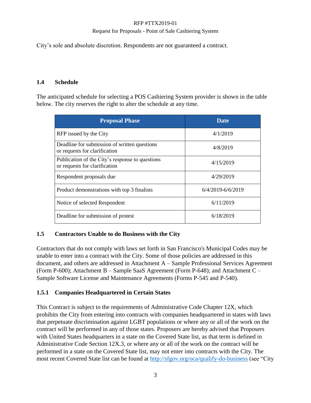#### Request for Proposals - Point of Sale Cashiering System

City's sole and absolute discretion. Respondents are not guaranteed a contract.

#### **1.4 Schedule**

The anticipated schedule for selecting a POS Cashiering System provider is shown in the table below. The city reserves the right to alter the schedule at any time.

| <b>Proposal Phase</b>                                                            | Date              |
|----------------------------------------------------------------------------------|-------------------|
| RFP issued by the City                                                           | 4/1/2019          |
| Deadline for submission of written questions<br>or requests for clarification    | 4/8/2019          |
| Publication of the City's response to questions<br>or requests for clarification | 4/15/2019         |
| Respondent proposals due                                                         | 4/29/2019         |
| Product demonstrations with top 3 finalists                                      | 6/4/2019-6/6/2019 |
| Notice of selected Respondent                                                    | 6/11/2019         |
| Deadline for submission of protest                                               | 6/18/2019         |

#### **1.5 Contractors Unable to do Business with the City**

Contractors that do not comply with laws set forth in San Francisco's Municipal Codes may be unable to enter into a contract with the City. Some of those policies are addressed in this document, and others are addressed in Attachment A – Sample Professional Services Agreement (Form P-600); Attachment B – Sample SaaS Agreement (Form P-648); and Attachment C – Sample Software License and Maintenance Agreements (Forms P-545 and P-540).

#### **1.5.1 Companies Headquartered in Certain States**

This Contract is subject to the requirements of Administrative Code Chapter 12X, which prohibits the City from entering into contracts with companies headquartered in states with laws that perpetuate discrimination against LGBT populations or where any or all of the work on the contract will be performed in any of those states. Proposers are hereby advised that Proposers with United States headquarters in a state on the Covered State list, as that term is defined in Administrative Code Section 12X.3, or where any or all of the work on the contract will be performed in a state on the Covered State list, may not enter into contracts with the City. The most recent Covered State list can be found at <http://sfgov.org/oca/qualify-do-business> (see "City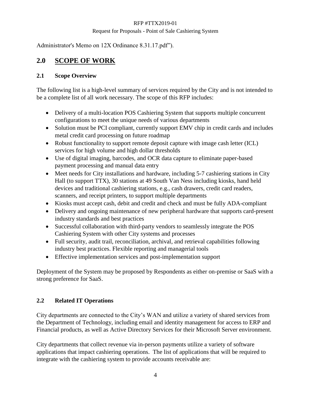Administrator's Memo on 12X Ordinance 8.31.17.pdf").

# <span id="page-5-0"></span>**2.0 SCOPE OF WORK**

#### **2.1 Scope Overview**

The following list is a high-level summary of services required by the City and is not intended to be a complete list of all work necessary. The scope of this RFP includes:

- Delivery of a multi-location POS Cashiering System that supports multiple concurrent configurations to meet the unique needs of various departments
- Solution must be PCI compliant, currently support EMV chip in credit cards and includes metal credit card processing on future roadmap
- Robust functionality to support remote deposit capture with image cash letter (ICL) services for high volume and high dollar thresholds
- Use of digital imaging, barcodes, and OCR data capture to eliminate paper-based payment processing and manual data entry
- Meet needs for City installations and hardware, including 5-7 cashiering stations in City Hall (to support TTX), 30 stations at 49 South Van Ness including kiosks, hand held devices and traditional cashiering stations, e.g., cash drawers, credit card readers, scanners, and receipt printers, to support multiple departments
- Kiosks must accept cash, debit and credit and check and must be fully ADA-compliant
- Delivery and ongoing maintenance of new peripheral hardware that supports card-present industry standards and best practices
- Successful collaboration with third-party vendors to seamlessly integrate the POS Cashiering System with other City systems and processes
- Full security, audit trail, reconciliation, archival, and retrieval capabilities following industry best practices. Flexible reporting and managerial tools
- Effective implementation services and post-implementation support

Deployment of the System may be proposed by Respondents as either on-premise or SaaS with a strong preference for SaaS.

#### **2.2 Related IT Operations**

City departments are connected to the City's WAN and utilize a variety of shared services from the Department of Technology, including email and identity management for access to ERP and Financial products, as well as Active Directory Services for their Microsoft Server environment.

City departments that collect revenue via in-person payments utilize a variety of software applications that impact cashiering operations. The list of applications that will be required to integrate with the cashiering system to provide accounts receivable are: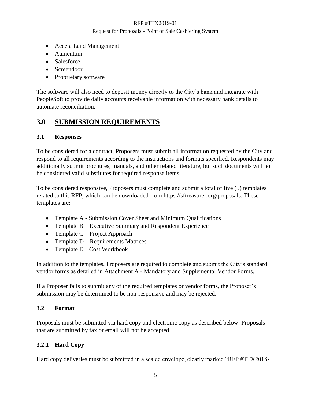- Accela Land Management
- Aumentum
- Salesforce
- Screendoor
- Proprietary software

The software will also need to deposit money directly to the City's bank and integrate with PeopleSoft to provide daily accounts receivable information with necessary bank details to automate reconciliation.

# <span id="page-6-0"></span>**3.0 SUBMISSION REQUIREMENTS**

#### **3.1 Responses**

To be considered for a contract, Proposers must submit all information requested by the City and respond to all requirements according to the instructions and formats specified. Respondents may additionally submit brochures, manuals, and other related literature, but such documents will not be considered valid substitutes for required response items.

To be considered responsive, Proposers must complete and submit a total of five (5) templates related to this RFP, which can be downloaded from https://sftreasurer.org/proposals. These templates are:

- Template A Submission Cover Sheet and Minimum Qualifications
- Template B Executive Summary and Respondent Experience
- Template  $C$  Project Approach
- Template D Requirements Matrices
- Template  $E Cost$  Workbook

In addition to the templates, Proposers are required to complete and submit the City's standard vendor forms as detailed in Attachment A - Mandatory and Supplemental Vendor Forms.

If a Proposer fails to submit any of the required templates or vendor forms, the Proposer's submission may be determined to be non-responsive and may be rejected.

#### **3.2 Format**

Proposals must be submitted via hard copy and electronic copy as described below. Proposals that are submitted by fax or email will not be accepted.

#### **3.2.1 Hard Copy**

Hard copy deliveries must be submitted in a sealed envelope, clearly marked "RFP #TTX2018-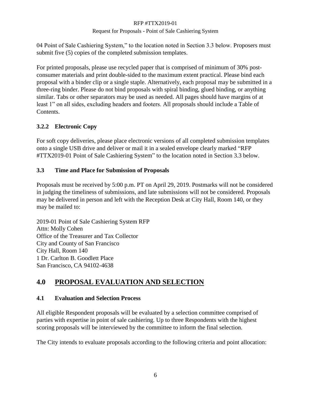#### Request for Proposals - Point of Sale Cashiering System

04 Point of Sale Cashiering System," to the location noted in Section 3.3 below. Proposers must submit five (5) copies of the completed submission templates.

For printed proposals, please use recycled paper that is comprised of minimum of 30% postconsumer materials and print double-sided to the maximum extent practical. Please bind each proposal with a binder clip or a single staple. Alternatively, each proposal may be submitted in a three-ring binder. Please do not bind proposals with spiral binding, glued binding, or anything similar. Tabs or other separators may be used as needed. All pages should have margins of at least 1" on all sides, excluding headers and footers. All proposals should include a Table of Contents.

#### **3.2.2 Electronic Copy**

For soft copy deliveries, please place electronic versions of all completed submission templates onto a single USB drive and deliver or mail it in a sealed envelope clearly marked "RFP #TTX2019-01 Point of Sale Cashiering System" to the location noted in Section 3.3 below.

#### **3.3 Time and Place for Submission of Proposals**

Proposals must be received by 5:00 p.m. PT on April 29, 2019. Postmarks will not be considered in judging the timeliness of submissions, and late submissions will not be considered. Proposals may be delivered in person and left with the Reception Desk at City Hall, Room 140, or they may be mailed to:

2019-01 Point of Sale Cashiering System RFP Attn: Molly Cohen Office of the Treasurer and Tax Collector City and County of San Francisco City Hall, Room 140 1 Dr. Carlton B. Goodlett Place San Francisco, CA 94102-4638

# <span id="page-7-0"></span>**4.0 PROPOSAL EVALUATION AND SELECTION**

#### **4.1 Evaluation and Selection Process**

All eligible Respondent proposals will be evaluated by a selection committee comprised of parties with expertise in point of sale cashiering. Up to three Respondents with the highest scoring proposals will be interviewed by the committee to inform the final selection.

The City intends to evaluate proposals according to the following criteria and point allocation: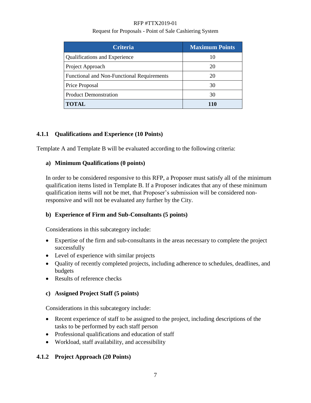#### Request for Proposals - Point of Sale Cashiering System

| <b>Criteria</b>                            | <b>Maximum Points</b> |
|--------------------------------------------|-----------------------|
| <b>Qualifications and Experience</b>       | 10                    |
| Project Approach                           | 20                    |
| Functional and Non-Functional Requirements | 20                    |
| Price Proposal                             | 30                    |
| <b>Product Demonstration</b>               | 30                    |
| <b>TOTAL</b>                               | 110                   |

#### **4.1.1 Qualifications and Experience (10 Points)**

Template A and Template B will be evaluated according to the following criteria:

#### **a) Minimum Qualifications (0 points)**

In order to be considered responsive to this RFP, a Proposer must satisfy all of the minimum qualification items listed in Template B. If a Proposer indicates that any of these minimum qualification items will not be met, that Proposer's submission will be considered nonresponsive and will not be evaluated any further by the City.

#### **b) Experience of Firm and Sub-Consultants (5 points)**

Considerations in this subcategory include:

- Expertise of the firm and sub-consultants in the areas necessary to complete the project successfully
- Level of experience with similar projects
- Quality of recently completed projects, including adherence to schedules, deadlines, and budgets
- Results of reference checks

#### **c) Assigned Project Staff (5 points)**

Considerations in this subcategory include:

- Recent experience of staff to be assigned to the project, including descriptions of the tasks to be performed by each staff person
- Professional qualifications and education of staff
- Workload, staff availability, and accessibility

#### **4.1.2 Project Approach (20 Points)**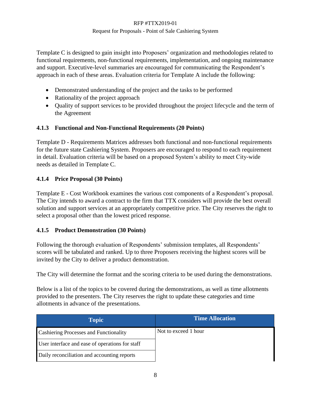Template C is designed to gain insight into Proposers' organization and methodologies related to functional requirements, non-functional requirements, implementation, and ongoing maintenance and support. Executive-level summaries are encouraged for communicating the Respondent's approach in each of these areas. Evaluation criteria for Template A include the following:

- Demonstrated understanding of the project and the tasks to be performed
- Rationality of the project approach
- Ouality of support services to be provided throughout the project lifecycle and the term of the Agreement

#### **4.1.3 Functional and Non-Functional Requirements (20 Points)**

Template D - Requirements Matrices addresses both functional and non-functional requirements for the future state Cashiering System. Proposers are encouraged to respond to each requirement in detail. Evaluation criteria will be based on a proposed System's ability to meet City-wide needs as detailed in Template C.

#### **4.1.4 Price Proposal (30 Points)**

Template E - Cost Workbook examines the various cost components of a Respondent's proposal. The City intends to award a contract to the firm that TTX considers will provide the best overall solution and support services at an appropriately competitive price. The City reserves the right to select a proposal other than the lowest priced response.

#### **4.1.5 Product Demonstration (30 Points)**

Following the thorough evaluation of Respondents' submission templates, all Respondents' scores will be tabulated and ranked. Up to three Proposers receiving the highest scores will be invited by the City to deliver a product demonstration.

The City will determine the format and the scoring criteria to be used during the demonstrations.

Below is a list of the topics to be covered during the demonstrations, as well as time allotments provided to the presenters. The City reserves the right to update these categories and time allotments in advance of the presentations.

| <b>Topic</b>                                    | <b>Time Allocation</b> |
|-------------------------------------------------|------------------------|
| <b>Cashiering Processes and Functionality</b>   | Not to exceed 1 hour   |
| User interface and ease of operations for staff |                        |
| Daily reconciliation and accounting reports     |                        |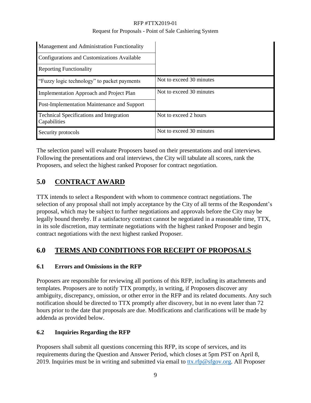| Management and Administration Functionality                     |                          |
|-----------------------------------------------------------------|--------------------------|
| Configurations and Customizations Available                     |                          |
| <b>Reporting Functionality</b>                                  |                          |
| "Fuzzy logic technology" to packet payments                     | Not to exceed 30 minutes |
| Implementation Approach and Project Plan                        | Not to exceed 30 minutes |
| Post-Implementation Maintenance and Support                     |                          |
| <b>Technical Specifications and Integration</b><br>Capabilities | Not to exceed 2 hours    |
| Security protocols                                              | Not to exceed 30 minutes |

The selection panel will evaluate Proposers based on their presentations and oral interviews. Following the presentations and oral interviews, the City will tabulate all scores, rank the Proposers, and select the highest ranked Proposer for contract negotiation.

# <span id="page-10-0"></span>**5.0 CONTRACT AWARD**

TTX intends to select a Respondent with whom to commence contract negotiations. The selection of any proposal shall not imply acceptance by the City of all terms of the Respondent's proposal, which may be subject to further negotiations and approvals before the City may be legally bound thereby. If a satisfactory contract cannot be negotiated in a reasonable time, TTX, in its sole discretion, may terminate negotiations with the highest ranked Proposer and begin contract negotiations with the next highest ranked Proposer.

# <span id="page-10-1"></span>**6.0 TERMS AND CONDITIONS FOR RECEIPT OF PROPOSALS**

## **6.1 Errors and Omissions in the RFP**

Proposers are responsible for reviewing all portions of this RFP, including its attachments and templates. Proposers are to notify TTX promptly, in writing, if Proposers discover any ambiguity, discrepancy, omission, or other error in the RFP and its related documents. Any such notification should be directed to TTX promptly after discovery, but in no event later than 72 hours prior to the date that proposals are due. Modifications and clarifications will be made by addenda as provided below.

## **6.2 Inquiries Regarding the RFP**

Proposers shall submit all questions concerning this RFP, its scope of services, and its requirements during the Question and Answer Period, which closes at 5pm PST on April 8, 2019. Inquiries must be in writing and submitted via email to [ttx.rfp@sfgov.org.](mailto:ttx.rfp@sfgov.org) All Proposer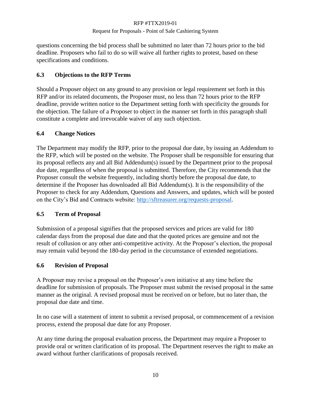questions concerning the bid process shall be submitted no later than 72 hours prior to the bid deadline. Proposers who fail to do so will waive all further rights to protest, based on these specifications and conditions.

#### **6.3 Objections to the RFP Terms**

Should a Proposer object on any ground to any provision or legal requirement set forth in this RFP and/or its related documents, the Proposer must, no less than 72 hours prior to the RFP deadline, provide written notice to the Department setting forth with specificity the grounds for the objection. The failure of a Proposer to object in the manner set forth in this paragraph shall constitute a complete and irrevocable waiver of any such objection.

#### **6.4 Change Notices**

The Department may modify the RFP, prior to the proposal due date, by issuing an Addendum to the RFP, which will be posted on the website. The Proposer shall be responsible for ensuring that its proposal reflects any and all Bid Addendum(s) issued by the Department prior to the proposal due date, regardless of when the proposal is submitted. Therefore, the City recommends that the Proposer consult the website frequently, including shortly before the proposal due date, to determine if the Proposer has downloaded all Bid Addendum(s). It is the responsibility of the Proposer to check for any Addendum, Questions and Answers, and updates, which will be posted on the City's Bid and Contracts website: [http://sftreasurer.org/requests-proposal.](http://sftreasurer.org/requests-proposal)

#### **6.5 Term of Proposal**

Submission of a proposal signifies that the proposed services and prices are valid for 180 calendar days from the proposal due date and that the quoted prices are genuine and not the result of collusion or any other anti-competitive activity. At the Proposer's election, the proposal may remain valid beyond the 180-day period in the circumstance of extended negotiations.

#### **6.6 Revision of Proposal**

A Proposer may revise a proposal on the Proposer's own initiative at any time before the deadline for submission of proposals. The Proposer must submit the revised proposal in the same manner as the original. A revised proposal must be received on or before, but no later than, the proposal due date and time.

In no case will a statement of intent to submit a revised proposal, or commencement of a revision process, extend the proposal due date for any Proposer.

At any time during the proposal evaluation process, the Department may require a Proposer to provide oral or written clarification of its proposal. The Department reserves the right to make an award without further clarifications of proposals received.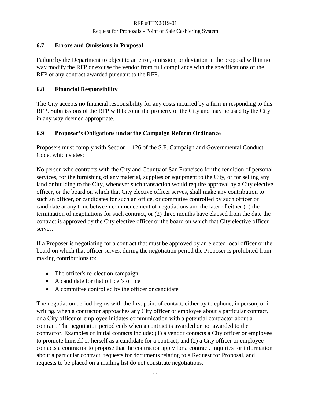#### **6.7 Errors and Omissions in Proposal**

Failure by the Department to object to an error, omission, or deviation in the proposal will in no way modify the RFP or excuse the vendor from full compliance with the specifications of the RFP or any contract awarded pursuant to the RFP.

#### **6.8 Financial Responsibility**

The City accepts no financial responsibility for any costs incurred by a firm in responding to this RFP. Submissions of the RFP will become the property of the City and may be used by the City in any way deemed appropriate.

#### **6.9 Proposer's Obligations under the Campaign Reform Ordinance**

Proposers must comply with Section 1.126 of the S.F. Campaign and Governmental Conduct Code, which states:

No person who contracts with the City and County of San Francisco for the rendition of personal services, for the furnishing of any material, supplies or equipment to the City, or for selling any land or building to the City, whenever such transaction would require approval by a City elective officer, or the board on which that City elective officer serves, shall make any contribution to such an officer, or candidates for such an office, or committee controlled by such officer or candidate at any time between commencement of negotiations and the later of either (1) the termination of negotiations for such contract, or (2) three months have elapsed from the date the contract is approved by the City elective officer or the board on which that City elective officer serves.

If a Proposer is negotiating for a contract that must be approved by an elected local officer or the board on which that officer serves, during the negotiation period the Proposer is prohibited from making contributions to:

- The officer's re-election campaign
- A candidate for that officer's office
- A committee controlled by the officer or candidate

The negotiation period begins with the first point of contact, either by telephone, in person, or in writing, when a contractor approaches any City officer or employee about a particular contract, or a City officer or employee initiates communication with a potential contractor about a contract. The negotiation period ends when a contract is awarded or not awarded to the contractor. Examples of initial contacts include: (1) a vendor contacts a City officer or employee to promote himself or herself as a candidate for a contract; and (2) a City officer or employee contacts a contractor to propose that the contractor apply for a contract. Inquiries for information about a particular contract, requests for documents relating to a Request for Proposal, and requests to be placed on a mailing list do not constitute negotiations.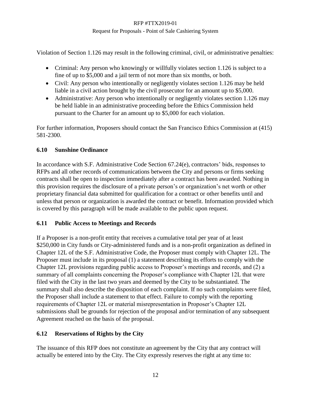Violation of Section 1.126 may result in the following criminal, civil, or administrative penalties:

- Criminal: Any person who knowingly or willfully violates section 1.126 is subject to a fine of up to \$5,000 and a jail term of not more than six months, or both.
- Civil: Any person who intentionally or negligently violates section 1.126 may be held liable in a civil action brought by the civil prosecutor for an amount up to \$5,000.
- Administrative: Any person who intentionally or negligently violates section 1.126 may be held liable in an administrative proceeding before the Ethics Commission held pursuant to the Charter for an amount up to \$5,000 for each violation.

For further information, Proposers should contact the San Francisco Ethics Commission at (415) 581-2300.

#### **6.10 Sunshine Ordinance**

In accordance with S.F. Administrative Code Section 67.24(e), contractors' bids, responses to RFPs and all other records of communications between the City and persons or firms seeking contracts shall be open to inspection immediately after a contract has been awarded. Nothing in this provision requires the disclosure of a private person's or organization's net worth or other proprietary financial data submitted for qualification for a contract or other benefits until and unless that person or organization is awarded the contract or benefit. Information provided which is covered by this paragraph will be made available to the public upon request.

#### **6.11 Public Access to Meetings and Records**

If a Proposer is a non-profit entity that receives a cumulative total per year of at least \$250,000 in City funds or City-administered funds and is a non-profit organization as defined in Chapter 12L of the S.F. Administrative Code, the Proposer must comply with Chapter 12L. The Proposer must include in its proposal (1) a statement describing its efforts to comply with the Chapter 12L provisions regarding public access to Proposer's meetings and records, and (2) a summary of all complaints concerning the Proposer's compliance with Chapter 12L that were filed with the City in the last two years and deemed by the City to be substantiated. The summary shall also describe the disposition of each complaint. If no such complaints were filed, the Proposer shall include a statement to that effect. Failure to comply with the reporting requirements of Chapter 12L or material misrepresentation in Proposer's Chapter 12L submissions shall be grounds for rejection of the proposal and/or termination of any subsequent Agreement reached on the basis of the proposal.

#### **6.12 Reservations of Rights by the City**

The issuance of this RFP does not constitute an agreement by the City that any contract will actually be entered into by the City. The City expressly reserves the right at any time to: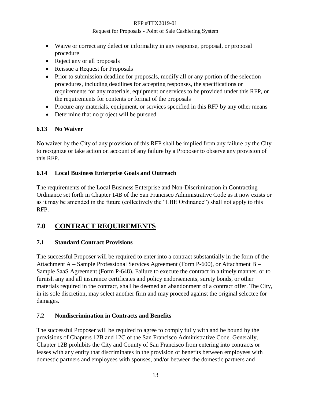#### Request for Proposals - Point of Sale Cashiering System

- Waive or correct any defect or informality in any response, proposal, or proposal procedure
- Reject any or all proposals
- Reissue a Request for Proposals
- Prior to submission deadline for proposals, modify all or any portion of the selection procedures, including deadlines for accepting responses, the specifications or requirements for any materials, equipment or services to be provided under this RFP, or the requirements for contents or format of the proposals
- Procure any materials, equipment, or services specified in this RFP by any other means
- Determine that no project will be pursued

#### **6.13 No Waiver**

No waiver by the City of any provision of this RFP shall be implied from any failure by the City to recognize or take action on account of any failure by a Proposer to observe any provision of this RFP.

#### **6.14 Local Business Enterprise Goals and Outreach**

The requirements of the Local Business Enterprise and Non-Discrimination in Contracting Ordinance set forth in Chapter 14B of the San Francisco Administrative Code as it now exists or as it may be amended in the future (collectively the "LBE Ordinance") shall not apply to this RFP.

# <span id="page-14-0"></span>**7.0 CONTRACT REQUIREMENTS**

#### **7.1 Standard Contract Provisions**

The successful Proposer will be required to enter into a contract substantially in the form of the Attachment A – Sample Professional Services Agreement (Form P-600), or Attachment B – Sample SaaS Agreement (Form P-648). Failure to execute the contract in a timely manner, or to furnish any and all insurance certificates and policy endorsements, surety bonds, or other materials required in the contract, shall be deemed an abandonment of a contract offer. The City, in its sole discretion, may select another firm and may proceed against the original selectee for damages.

#### **7.2 Nondiscrimination in Contracts and Benefits**

The successful Proposer will be required to agree to comply fully with and be bound by the provisions of Chapters 12B and 12C of the San Francisco Administrative Code. Generally, Chapter 12B prohibits the City and County of San Francisco from entering into contracts or leases with any entity that discriminates in the provision of benefits between employees with domestic partners and employees with spouses, and/or between the domestic partners and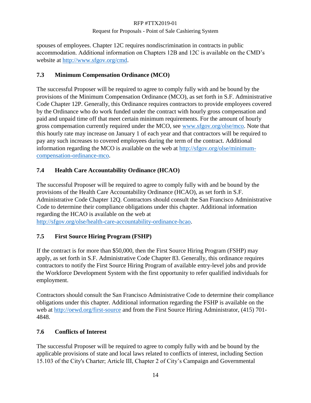spouses of employees. Chapter 12C requires nondiscrimination in contracts in public accommodation. Additional information on Chapters 12B and 12C is available on the CMD's website at [http://www.sfgov.org/cmd.](http://www.sfgov.org/cmd)

### **7.3 Minimum Compensation Ordinance (MCO)**

The successful Proposer will be required to agree to comply fully with and be bound by the provisions of the Minimum Compensation Ordinance (MCO), as set forth in S.F. Administrative Code Chapter 12P. Generally, this Ordinance requires contractors to provide employees covered by the Ordinance who do work funded under the contract with hourly gross compensation and paid and unpaid time off that meet certain minimum requirements. For the amount of hourly gross compensation currently required under the MCO, see [www.sfgov.org/olse/mco.](http://www.sfgov.org/olse/mco) Note that this hourly rate may increase on January 1 of each year and that contractors will be required to pay any such increases to covered employees during the term of the contract. Additional information regarding the MCO is available on the web at [http://sfgov.org/olse/minimum](http://sfgov.org/olse/minimum-compensation-ordinance-mco)[compensation-ordinance-mco.](http://sfgov.org/olse/minimum-compensation-ordinance-mco)

## **7.4 Health Care Accountability Ordinance (HCAO)**

The successful Proposer will be required to agree to comply fully with and be bound by the provisions of the Health Care Accountability Ordinance (HCAO), as set forth in S.F. Administrative Code Chapter 12Q. Contractors should consult the San Francisco Administrative Code to determine their compliance obligations under this chapter. Additional information regarding the HCAO is available on the web at

[http://sfgov.org/olse/health-care-accountability-ordinance-hcao.](http://sfgov.org/olse/health-care-accountability-ordinance-hcao)

## **7.5 First Source Hiring Program (FSHP)**

If the contract is for more than \$50,000, then the First Source Hiring Program (FSHP) may apply, as set forth in S.F. Administrative Code Chapter 83. Generally, this ordinance requires contractors to notify the First Source Hiring Program of available entry-level jobs and provide the Workforce Development System with the first opportunity to refer qualified individuals for employment.

Contractors should consult the San Francisco Administrative Code to determine their compliance obligations under this chapter. Additional information regarding the FSHP is available on the web at<http://oewd.org/first-source> and from the First Source Hiring Administrator, (415) 701-4848.

#### **7.6 Conflicts of Interest**

The successful Proposer will be required to agree to comply fully with and be bound by the applicable provisions of state and local laws related to conflicts of interest, including Section 15.103 of the City's Charter; Article III, Chapter 2 of City's Campaign and Governmental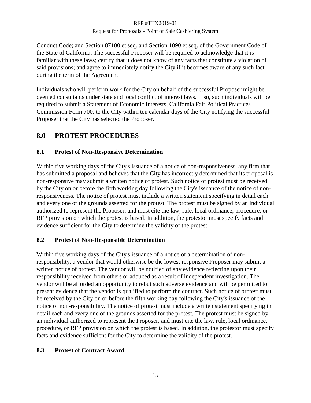#### Request for Proposals - Point of Sale Cashiering System

Conduct Code; and Section 87100 et seq. and Section 1090 et seq. of the Government Code of the State of California. The successful Proposer will be required to acknowledge that it is familiar with these laws; certify that it does not know of any facts that constitute a violation of said provisions; and agree to immediately notify the City if it becomes aware of any such fact during the term of the Agreement.

Individuals who will perform work for the City on behalf of the successful Proposer might be deemed consultants under state and local conflict of interest laws. If so, such individuals will be required to submit a Statement of Economic Interests, California Fair Political Practices Commission Form 700, to the City within ten calendar days of the City notifying the successful Proposer that the City has selected the Proposer.

# <span id="page-16-0"></span>**8.0 PROTEST PROCEDURES**

#### **8.1 Protest of Non-Responsive Determination**

Within five working days of the City's issuance of a notice of non-responsiveness, any firm that has submitted a proposal and believes that the City has incorrectly determined that its proposal is non-responsive may submit a written notice of protest. Such notice of protest must be received by the City on or before the fifth working day following the City's issuance of the notice of nonresponsiveness. The notice of protest must include a written statement specifying in detail each and every one of the grounds asserted for the protest. The protest must be signed by an individual authorized to represent the Proposer, and must cite the law, rule, local ordinance, procedure, or RFP provision on which the protest is based. In addition, the protestor must specify facts and evidence sufficient for the City to determine the validity of the protest.

#### **8.2 Protest of Non-Responsible Determination**

Within five working days of the City's issuance of a notice of a determination of nonresponsibility, a vendor that would otherwise be the lowest responsive Proposer may submit a written notice of protest. The vendor will be notified of any evidence reflecting upon their responsibility received from others or adduced as a result of independent investigation. The vendor will be afforded an opportunity to rebut such adverse evidence and will be permitted to present evidence that the vendor is qualified to perform the contract. Such notice of protest must be received by the City on or before the fifth working day following the City's issuance of the notice of non-responsibility. The notice of protest must include a written statement specifying in detail each and every one of the grounds asserted for the protest. The protest must be signed by an individual authorized to represent the Proposer, and must cite the law, rule, local ordinance, procedure, or RFP provision on which the protest is based. In addition, the protestor must specify facts and evidence sufficient for the City to determine the validity of the protest.

#### **8.3 Protest of Contract Award**